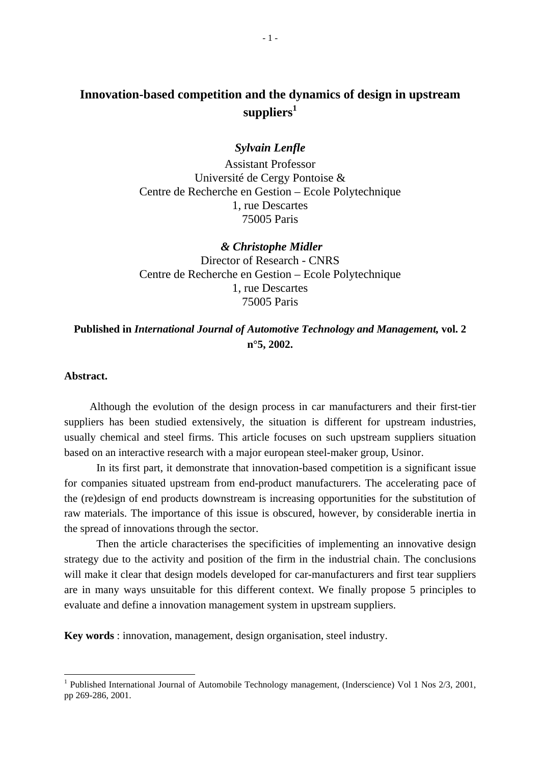# **Innovation-based competition and the dynamics of design in upstream suppliers[1](#page-0-0)**

### *Sylvain Lenfle*

Assistant Professor Université de Cergy Pontoise & Centre de Recherche en Gestion – Ecole Polytechnique 1, rue Descartes 75005 Paris

 *& Christophe Midler*  Director of Research - CNRS Centre de Recherche en Gestion – Ecole Polytechnique 1, rue Descartes 75005 Paris

### **Published in** *International Journal of Automotive Technology and Management,* **vol. 2 n°5, 2002.**

### **Abstract.**

1

 Although the evolution of the design process in car manufacturers and their first-tier suppliers has been studied extensively, the situation is different for upstream industries, usually chemical and steel firms. This article focuses on such upstream suppliers situation based on an interactive research with a major european steel-maker group, Usinor.

In its first part, it demonstrate that innovation-based competition is a significant issue for companies situated upstream from end-product manufacturers. The accelerating pace of the (re)design of end products downstream is increasing opportunities for the substitution of raw materials. The importance of this issue is obscured, however, by considerable inertia in the spread of innovations through the sector.

Then the article characterises the specificities of implementing an innovative design strategy due to the activity and position of the firm in the industrial chain. The conclusions will make it clear that design models developed for car-manufacturers and first tear suppliers are in many ways unsuitable for this different context. We finally propose 5 principles to evaluate and define a innovation management system in upstream suppliers.

**Key words** : innovation, management, design organisation, steel industry.

<span id="page-0-0"></span><sup>&</sup>lt;sup>1</sup> Published International Journal of Automobile Technology management, (Inderscience) Vol 1 Nos 2/3, 2001, pp 269-286, 2001.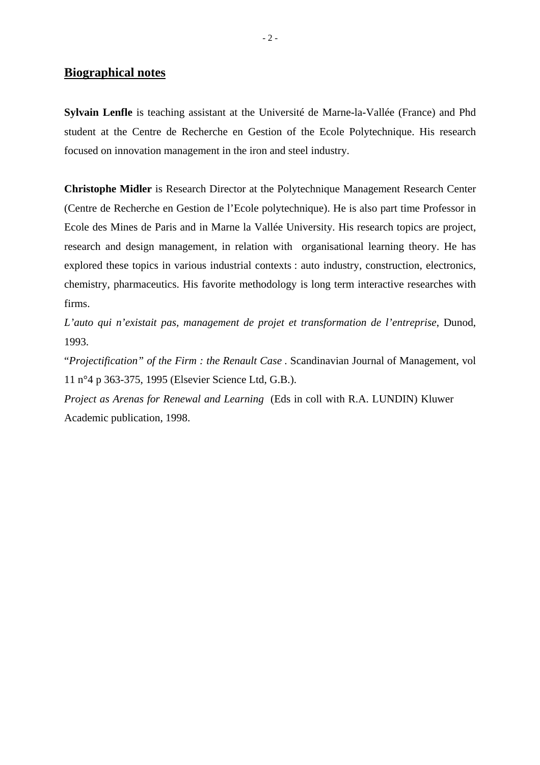### **Biographical notes**

**Sylvain Lenfle** is teaching assistant at the Université de Marne-la-Vallée (France) and Phd student at the Centre de Recherche en Gestion of the Ecole Polytechnique. His research focused on innovation management in the iron and steel industry.

**Christophe Midler** is Research Director at the Polytechnique Management Research Center (Centre de Recherche en Gestion de l'Ecole polytechnique). He is also part time Professor in Ecole des Mines de Paris and in Marne la Vallée University. His research topics are project, research and design management, in relation with organisational learning theory. He has explored these topics in various industrial contexts : auto industry, construction, electronics, chemistry, pharmaceutics. His favorite methodology is long term interactive researches with firms.

*L'auto qui n'existait pas, management de projet et transformation de l'entreprise*, Dunod, 1993.

"*Projectification" of the Firm : the Renault Case* . Scandinavian Journal of Management, vol 11 n°4 p 363-375, 1995 (Elsevier Science Ltd, G.B.).

*Project as Arenas for Renewal and Learning* (Eds in coll with R.A. LUNDIN) Kluwer Academic publication, 1998.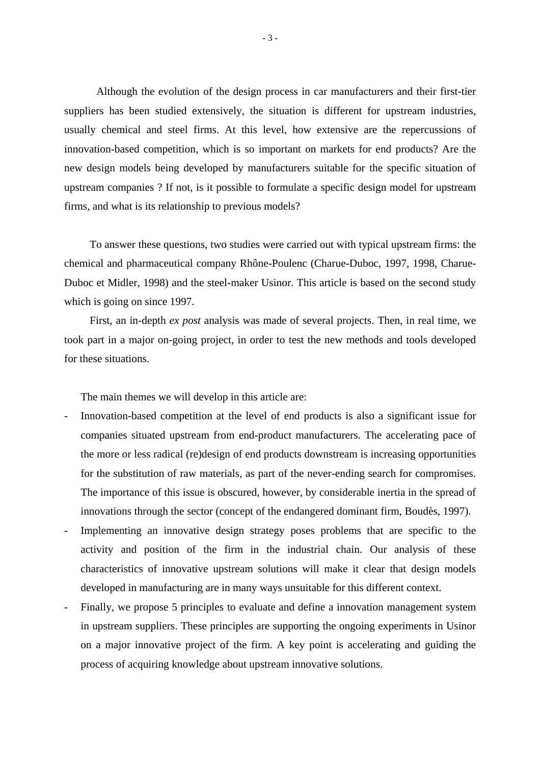Although the evolution of the design process in car manufacturers and their first-tier suppliers has been studied extensively, the situation is different for upstream industries, usually chemical and steel firms. At this level, how extensive are the repercussions of innovation-based competition, which is so important on markets for end products? Are the new design models being developed by manufacturers suitable for the specific situation of upstream companies ? If not, is it possible to formulate a specific design model for upstream firms, and what is its relationship to previous models?

 To answer these questions, two studies were carried out with typical upstream firms: the chemical and pharmaceutical company Rhône-Poulenc (Charue-Duboc, 1997, 1998, Charue-Duboc et Midler, 1998) and the steel-maker Usinor. This article is based on the second study which is going on since 1997.

 First, an in-depth *ex post* analysis was made of several projects. Then, in real time, we took part in a major on-going project, in order to test the new methods and tools developed for these situations.

The main themes we will develop in this article are:

- Innovation-based competition at the level of end products is also a significant issue for companies situated upstream from end-product manufacturers. The accelerating pace of the more or less radical (re)design of end products downstream is increasing opportunities for the substitution of raw materials, as part of the never-ending search for compromises. The importance of this issue is obscured, however, by considerable inertia in the spread of innovations through the sector (concept of the endangered dominant firm, Boudès, 1997).
- Implementing an innovative design strategy poses problems that are specific to the activity and position of the firm in the industrial chain. Our analysis of these characteristics of innovative upstream solutions will make it clear that design models developed in manufacturing are in many ways unsuitable for this different context.
- Finally, we propose 5 principles to evaluate and define a innovation management system in upstream suppliers. These principles are supporting the ongoing experiments in Usinor on a major innovative project of the firm. A key point is accelerating and guiding the process of acquiring knowledge about upstream innovative solutions.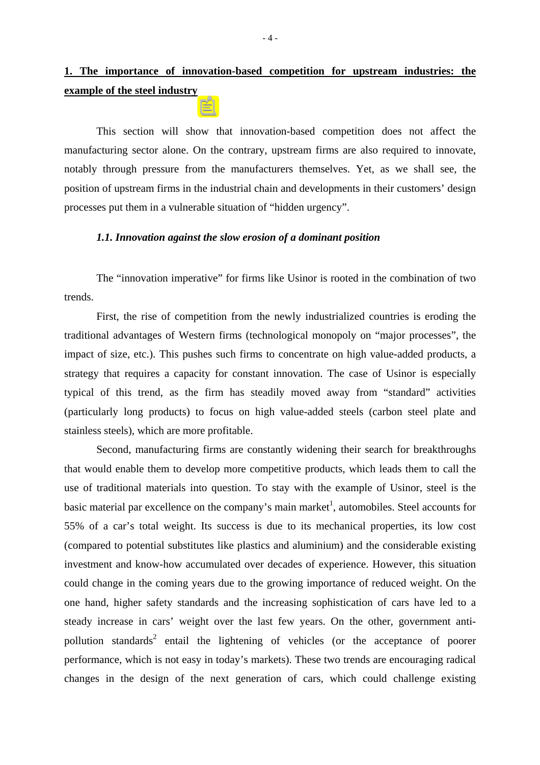# **1. The importance of innovation-based competition for upstream industries: the example of the steel industry**

 This section will show that innovation-based competition does not affect the manufacturing sector alone. On the contrary, upstream firms are also required to innovate, notably through pressure from the manufacturers themselves. Yet, as we shall see, the position of upstream firms in the industrial chain and developments in their customers' design processes put them in a vulnerable situation of "hidden urgency".

### *1.1. Innovation against the slow erosion of a dominant position*

 The "innovation imperative" for firms like Usinor is rooted in the combination of two trends.

First, the rise of competition from the newly industrialized countries is eroding the traditional advantages of Western firms (technological monopoly on "major processes", the impact of size, etc.). This pushes such firms to concentrate on high value-added products, a strategy that requires a capacity for constant innovation. The case of Usinor is especially typical of this trend, as the firm has steadily moved away from "standard" activities (particularly long products) to focus on high value-added steels (carbon steel plate and stainless steels), which are more profitable.

Second, manufacturing firms are constantly widening their search for breakthroughs that would enable them to develop more competitive products, which leads them to call the use of traditional materials into question. To stay with the example of Usinor, steel is the basic material par excellence on the company's main market<sup>[1](#page-24-0)</sup>, automobiles. Steel accounts for 55% of a car's total weight. Its success is due to its mechanical properties, its low cost (compared to potential substitutes like plastics and aluminium) and the considerable existing investment and know-how accumulated over decades of experience. However, this situation could change in the coming years due to the growing importance of reduced weight. On the one hand, higher safety standards and the increasing sophistication of cars have led to a steady increase in cars' weight over the last few years. On the other, government anti-pollution standards<sup>[2](#page-24-1)</sup> entail the lightening of vehicles (or the acceptance of poorer performance, which is not easy in today's markets). These two trends are encouraging radical changes in the design of the next generation of cars, which could challenge existing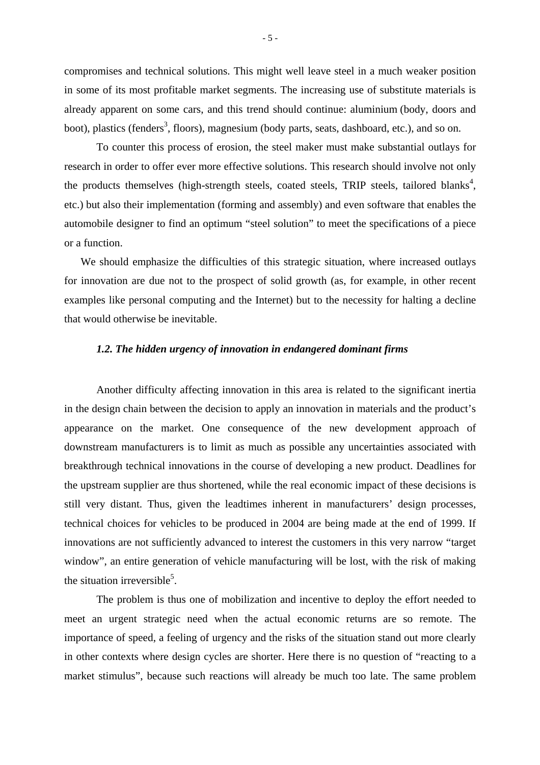compromises and technical solutions. This might well leave steel in a much weaker position in some of its most profitable market segments. The increasing use of substitute materials is already apparent on some cars, and this trend should continue: aluminium (body, doors and boot), plastics (fenders<sup>3</sup>, floors), magnesium (body parts, seats, dashboard, etc.), and so on.

To counter this process of erosion, the steel maker must make substantial outlays for research in order to offer ever more effective solutions. This research should involve not only the products themselves (high-strength steels, coated steels, TRIP steels, tailored blanks<sup>4</sup>, etc.) but also their implementation (forming and assembly) and even software that enables the automobile designer to find an optimum "steel solution" to meet the specifications of a piece or a function.

We should emphasize the difficulties of this strategic situation, where increased outlays for innovation are due not to the prospect of solid growth (as, for example, in other recent examples like personal computing and the Internet) but to the necessity for halting a decline that would otherwise be inevitable.

### *1.2. The hidden urgency of innovation in endangered dominant firms*

 Another difficulty affecting innovation in this area is related to the significant inertia in the design chain between the decision to apply an innovation in materials and the product's appearance on the market. One consequence of the new development approach of downstream manufacturers is to limit as much as possible any uncertainties associated with breakthrough technical innovations in the course of developing a new product. Deadlines for the upstream supplier are thus shortened, while the real economic impact of these decisions is still very distant. Thus, given the leadtimes inherent in manufacturers' design processes, technical choices for vehicles to be produced in 2004 are being made at the end of 1999. If innovations are not sufficiently advanced to interest the customers in this very narrow "target window", an entire generation of vehicle manufacturing will be lost, with the risk of making the situation irreversible<sup>[5](#page-24-4)</sup>.

 The problem is thus one of mobilization and incentive to deploy the effort needed to meet an urgent strategic need when the actual economic returns are so remote. The importance of speed, a feeling of urgency and the risks of the situation stand out more clearly in other contexts where design cycles are shorter. Here there is no question of "reacting to a market stimulus", because such reactions will already be much too late. The same problem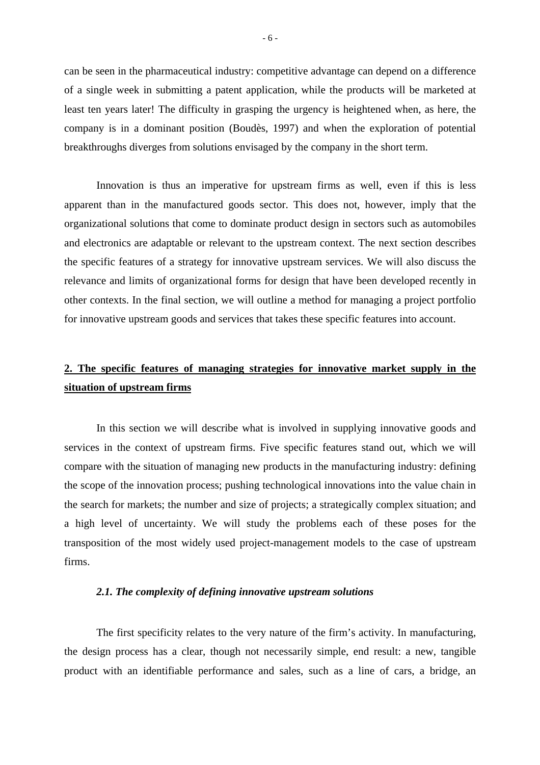can be seen in the pharmaceutical industry: competitive advantage can depend on a difference of a single week in submitting a patent application, while the products will be marketed at least ten years later! The difficulty in grasping the urgency is heightened when, as here, the company is in a dominant position (Boudès, 1997) and when the exploration of potential breakthroughs diverges from solutions envisaged by the company in the short term.

 Innovation is thus an imperative for upstream firms as well, even if this is less apparent than in the manufactured goods sector. This does not, however, imply that the organizational solutions that come to dominate product design in sectors such as automobiles and electronics are adaptable or relevant to the upstream context. The next section describes the specific features of a strategy for innovative upstream services. We will also discuss the relevance and limits of organizational forms for design that have been developed recently in other contexts. In the final section, we will outline a method for managing a project portfolio for innovative upstream goods and services that takes these specific features into account.

# **2. The specific features of managing strategies for innovative market supply in the situation of upstream firms**

In this section we will describe what is involved in supplying innovative goods and services in the context of upstream firms. Five specific features stand out, which we will compare with the situation of managing new products in the manufacturing industry: defining the scope of the innovation process; pushing technological innovations into the value chain in the search for markets; the number and size of projects; a strategically complex situation; and a high level of uncertainty. We will study the problems each of these poses for the transposition of the most widely used project-management models to the case of upstream firms.

### *2.1. The complexity of defining innovative upstream solutions*

The first specificity relates to the very nature of the firm's activity. In manufacturing, the design process has a clear, though not necessarily simple, end result: a new, tangible product with an identifiable performance and sales, such as a line of cars, a bridge, an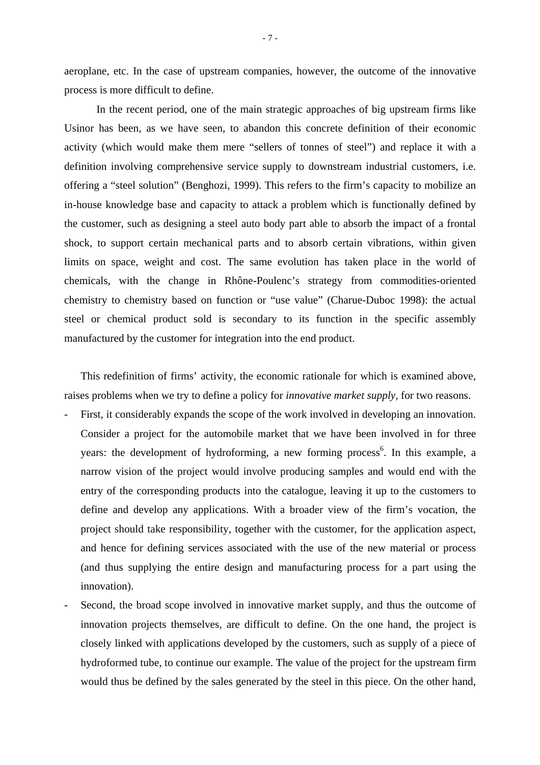aeroplane, etc. In the case of upstream companies, however, the outcome of the innovative process is more difficult to define.

In the recent period, one of the main strategic approaches of big upstream firms like Usinor has been, as we have seen, to abandon this concrete definition of their economic activity (which would make them mere "sellers of tonnes of steel") and replace it with a definition involving comprehensive service supply to downstream industrial customers, i.e. offering a "steel solution" (Benghozi, 1999). This refers to the firm's capacity to mobilize an in-house knowledge base and capacity to attack a problem which is functionally defined by the customer, such as designing a steel auto body part able to absorb the impact of a frontal shock, to support certain mechanical parts and to absorb certain vibrations, within given limits on space, weight and cost. The same evolution has taken place in the world of chemicals, with the change in Rhône-Poulenc's strategy from commodities-oriented chemistry to chemistry based on function or "use value" (Charue-Duboc 1998): the actual steel or chemical product sold is secondary to its function in the specific assembly manufactured by the customer for integration into the end product.

This redefinition of firms' activity, the economic rationale for which is examined above, raises problems when we try to define a policy for *innovative market supply,* for two reasons.

- First, it considerably expands the scope of the work involved in developing an innovation. Consider a project for the automobile market that we have been involved in for three years: the development of hydroforming, a new forming process<sup>[6](#page-24-5)</sup>. In this example, a narrow vision of the project would involve producing samples and would end with the entry of the corresponding products into the catalogue, leaving it up to the customers to define and develop any applications. With a broader view of the firm's vocation, the project should take responsibility, together with the customer, for the application aspect, and hence for defining services associated with the use of the new material or process (and thus supplying the entire design and manufacturing process for a part using the innovation).
- Second, the broad scope involved in innovative market supply, and thus the outcome of innovation projects themselves, are difficult to define. On the one hand, the project is closely linked with applications developed by the customers, such as supply of a piece of hydroformed tube, to continue our example. The value of the project for the upstream firm would thus be defined by the sales generated by the steel in this piece. On the other hand,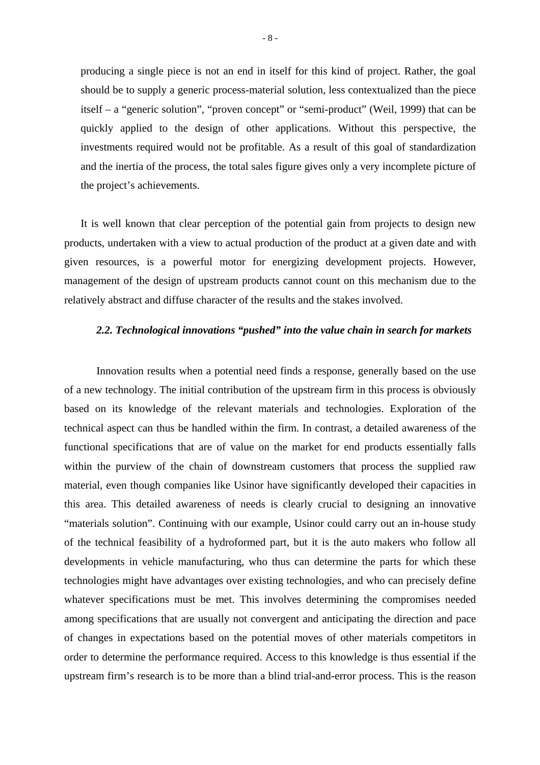producing a single piece is not an end in itself for this kind of project. Rather, the goal should be to supply a generic process-material solution, less contextualized than the piece itself – a "generic solution", "proven concept" or "semi-product" (Weil, 1999) that can be quickly applied to the design of other applications. Without this perspective, the investments required would not be profitable. As a result of this goal of standardization and the inertia of the process, the total sales figure gives only a very incomplete picture of the project's achievements.

It is well known that clear perception of the potential gain from projects to design new products, undertaken with a view to actual production of the product at a given date and with given resources, is a powerful motor for energizing development projects. However, management of the design of upstream products cannot count on this mechanism due to the relatively abstract and diffuse character of the results and the stakes involved.

### *2.2. Technological innovations "pushed" into the value chain in search for markets*

Innovation results when a potential need finds a response, generally based on the use of a new technology. The initial contribution of the upstream firm in this process is obviously based on its knowledge of the relevant materials and technologies. Exploration of the technical aspect can thus be handled within the firm. In contrast, a detailed awareness of the functional specifications that are of value on the market for end products essentially falls within the purview of the chain of downstream customers that process the supplied raw material, even though companies like Usinor have significantly developed their capacities in this area. This detailed awareness of needs is clearly crucial to designing an innovative "materials solution". Continuing with our example, Usinor could carry out an in-house study of the technical feasibility of a hydroformed part, but it is the auto makers who follow all developments in vehicle manufacturing, who thus can determine the parts for which these technologies might have advantages over existing technologies, and who can precisely define whatever specifications must be met. This involves determining the compromises needed among specifications that are usually not convergent and anticipating the direction and pace of changes in expectations based on the potential moves of other materials competitors in order to determine the performance required. Access to this knowledge is thus essential if the upstream firm's research is to be more than a blind trial-and-error process. This is the reason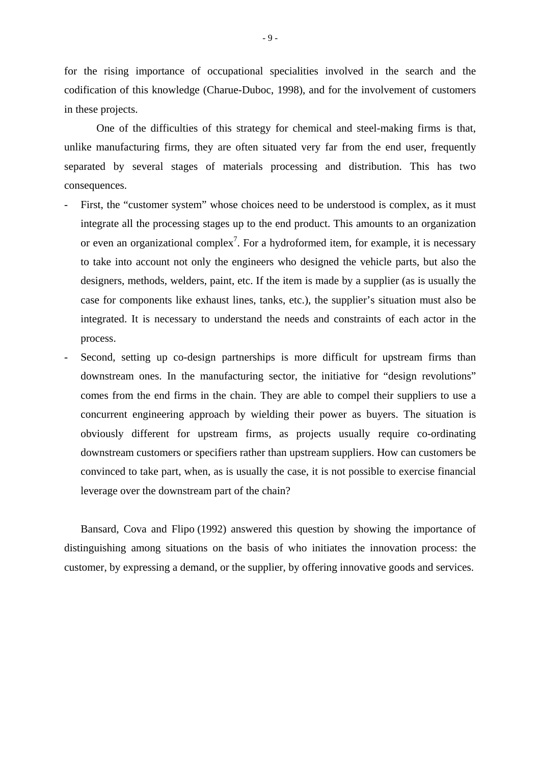for the rising importance of occupational specialities involved in the search and the codification of this knowledge (Charue-Duboc, 1998), and for the involvement of customers in these projects.

One of the difficulties of this strategy for chemical and steel-making firms is that, unlike manufacturing firms, they are often situated very far from the end user, frequently separated by several stages of materials processing and distribution. This has two consequences.

- First, the "customer system" whose choices need to be understood is complex, as it must integrate all the processing stages up to the end product. This amounts to an organization or even an organizational complex<sup>7</sup>. For a hydroformed item, for example, it is necessary to take into account not only the engineers who designed the vehicle parts, but also the designers, methods, welders, paint, etc. If the item is made by a supplier (as is usually the case for components like exhaust lines, tanks, etc.), the supplier's situation must also be integrated. It is necessary to understand the needs and constraints of each actor in the process.
- Second, setting up co-design partnerships is more difficult for upstream firms than downstream ones. In the manufacturing sector, the initiative for "design revolutions" comes from the end firms in the chain. They are able to compel their suppliers to use a concurrent engineering approach by wielding their power as buyers. The situation is obviously different for upstream firms, as projects usually require co-ordinating downstream customers or specifiers rather than upstream suppliers. How can customers be convinced to take part, when, as is usually the case, it is not possible to exercise financial leverage over the downstream part of the chain?

Bansard, Cova and Flipo (1992) answered this question by showing the importance of distinguishing among situations on the basis of who initiates the innovation process: the customer, by expressing a demand, or the supplier, by offering innovative goods and services.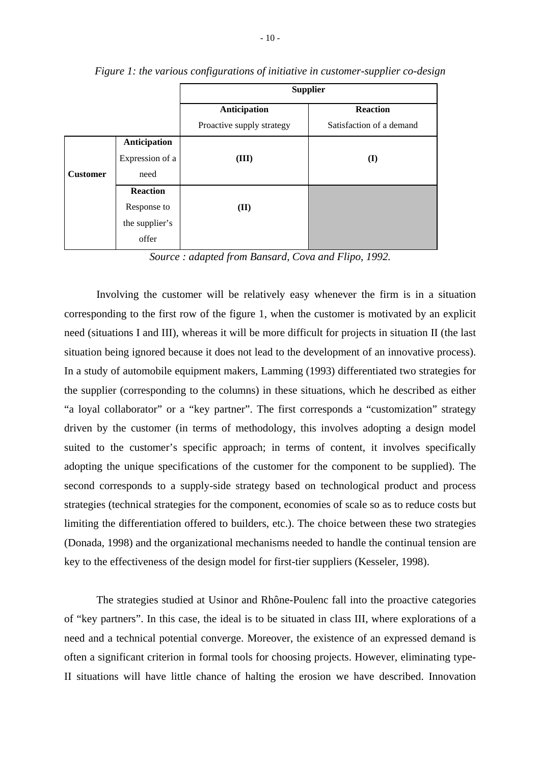|                 |                                                           | <b>Supplier</b>           |                          |  |  |  |
|-----------------|-----------------------------------------------------------|---------------------------|--------------------------|--|--|--|
|                 |                                                           | <b>Anticipation</b>       | <b>Reaction</b>          |  |  |  |
|                 |                                                           | Proactive supply strategy | Satisfaction of a demand |  |  |  |
| <b>Customer</b> | Anticipation<br>Expression of a<br>need                   | (III)                     | $\mathbf{I}$             |  |  |  |
|                 | <b>Reaction</b><br>Response to<br>the supplier's<br>offer | (II)                      |                          |  |  |  |

*Figure 1: the various configurations of initiative in customer-supplier co-design*

*Source : adapted from Bansard, Cova and Flipo, 1992.* 

Involving the customer will be relatively easy whenever the firm is in a situation corresponding to the first row of the figure 1, when the customer is motivated by an explicit need (situations I and III), whereas it will be more difficult for projects in situation II (the last situation being ignored because it does not lead to the development of an innovative process). In a study of automobile equipment makers, Lamming (1993) differentiated two strategies for the supplier (corresponding to the columns) in these situations, which he described as either "a loyal collaborator" or a "key partner". The first corresponds a "customization" strategy driven by the customer (in terms of methodology, this involves adopting a design model suited to the customer's specific approach; in terms of content, it involves specifically adopting the unique specifications of the customer for the component to be supplied). The second corresponds to a supply-side strategy based on technological product and process strategies (technical strategies for the component, economies of scale so as to reduce costs but limiting the differentiation offered to builders, etc.). The choice between these two strategies (Donada, 1998) and the organizational mechanisms needed to handle the continual tension are key to the effectiveness of the design model for first-tier suppliers (Kesseler, 1998).

The strategies studied at Usinor and Rhône-Poulenc fall into the proactive categories of "key partners". In this case, the ideal is to be situated in class III, where explorations of a need and a technical potential converge. Moreover, the existence of an expressed demand is often a significant criterion in formal tools for choosing projects. However, eliminating type-II situations will have little chance of halting the erosion we have described. Innovation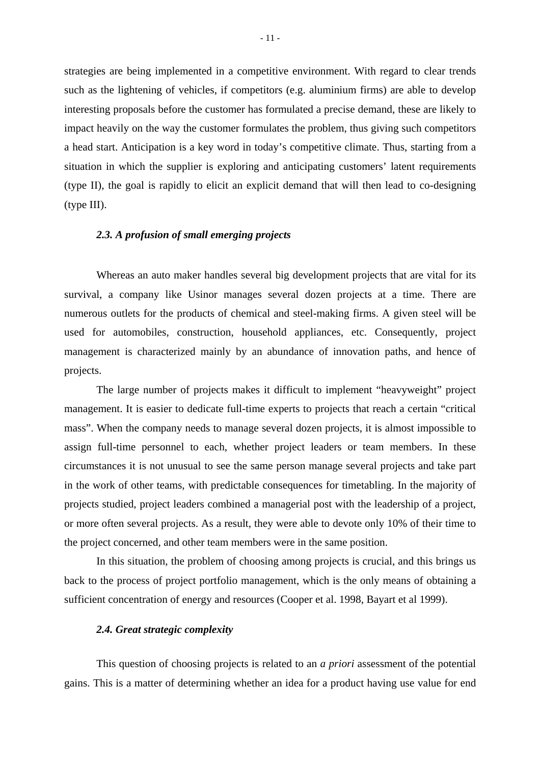strategies are being implemented in a competitive environment. With regard to clear trends such as the lightening of vehicles, if competitors (e.g. aluminium firms) are able to develop interesting proposals before the customer has formulated a precise demand, these are likely to impact heavily on the way the customer formulates the problem, thus giving such competitors a head start. Anticipation is a key word in today's competitive climate. Thus, starting from a situation in which the supplier is exploring and anticipating customers' latent requirements (type II), the goal is rapidly to elicit an explicit demand that will then lead to co-designing (type III).

### *2.3. A profusion of small emerging projects*

Whereas an auto maker handles several big development projects that are vital for its survival, a company like Usinor manages several dozen projects at a time. There are numerous outlets for the products of chemical and steel-making firms. A given steel will be used for automobiles, construction, household appliances, etc. Consequently, project management is characterized mainly by an abundance of innovation paths, and hence of projects.

The large number of projects makes it difficult to implement "heavyweight" project management. It is easier to dedicate full-time experts to projects that reach a certain "critical mass". When the company needs to manage several dozen projects, it is almost impossible to assign full-time personnel to each, whether project leaders or team members. In these circumstances it is not unusual to see the same person manage several projects and take part in the work of other teams, with predictable consequences for timetabling. In the majority of projects studied, project leaders combined a managerial post with the leadership of a project, or more often several projects. As a result, they were able to devote only 10% of their time to the project concerned, and other team members were in the same position.

In this situation, the problem of choosing among projects is crucial, and this brings us back to the process of project portfolio management, which is the only means of obtaining a sufficient concentration of energy and resources (Cooper et al. 1998, Bayart et al 1999).

#### *2.4. Great strategic complexity*

This question of choosing projects is related to an *a priori* assessment of the potential gains. This is a matter of determining whether an idea for a product having use value for end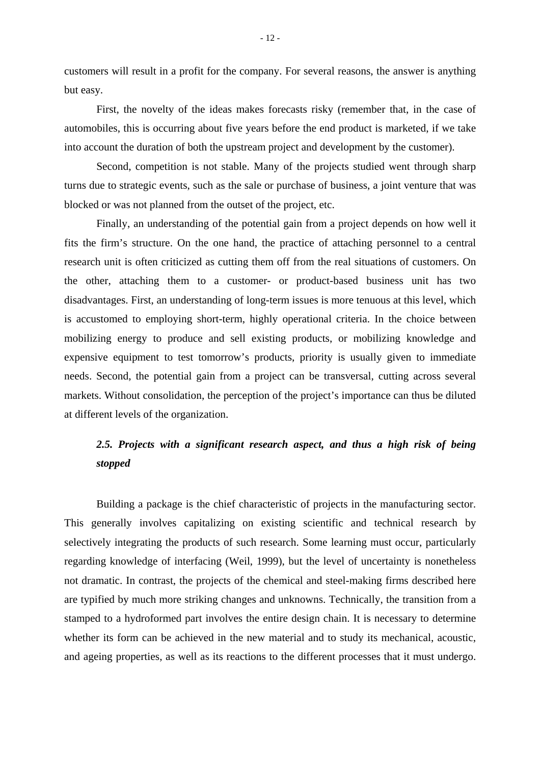customers will result in a profit for the company. For several reasons, the answer is anything but easy.

First, the novelty of the ideas makes forecasts risky (remember that, in the case of automobiles, this is occurring about five years before the end product is marketed, if we take into account the duration of both the upstream project and development by the customer).

Second, competition is not stable. Many of the projects studied went through sharp turns due to strategic events, such as the sale or purchase of business, a joint venture that was blocked or was not planned from the outset of the project, etc.

Finally, an understanding of the potential gain from a project depends on how well it fits the firm's structure. On the one hand, the practice of attaching personnel to a central research unit is often criticized as cutting them off from the real situations of customers. On the other, attaching them to a customer- or product-based business unit has two disadvantages. First, an understanding of long-term issues is more tenuous at this level, which is accustomed to employing short-term, highly operational criteria. In the choice between mobilizing energy to produce and sell existing products, or mobilizing knowledge and expensive equipment to test tomorrow's products, priority is usually given to immediate needs. Second, the potential gain from a project can be transversal, cutting across several markets. Without consolidation, the perception of the project's importance can thus be diluted at different levels of the organization.

# *2.5. Projects with a significant research aspect, and thus a high risk of being stopped*

Building a package is the chief characteristic of projects in the manufacturing sector. This generally involves capitalizing on existing scientific and technical research by selectively integrating the products of such research. Some learning must occur, particularly regarding knowledge of interfacing (Weil, 1999), but the level of uncertainty is nonetheless not dramatic. In contrast, the projects of the chemical and steel-making firms described here are typified by much more striking changes and unknowns. Technically, the transition from a stamped to a hydroformed part involves the entire design chain. It is necessary to determine whether its form can be achieved in the new material and to study its mechanical, acoustic, and ageing properties, as well as its reactions to the different processes that it must undergo.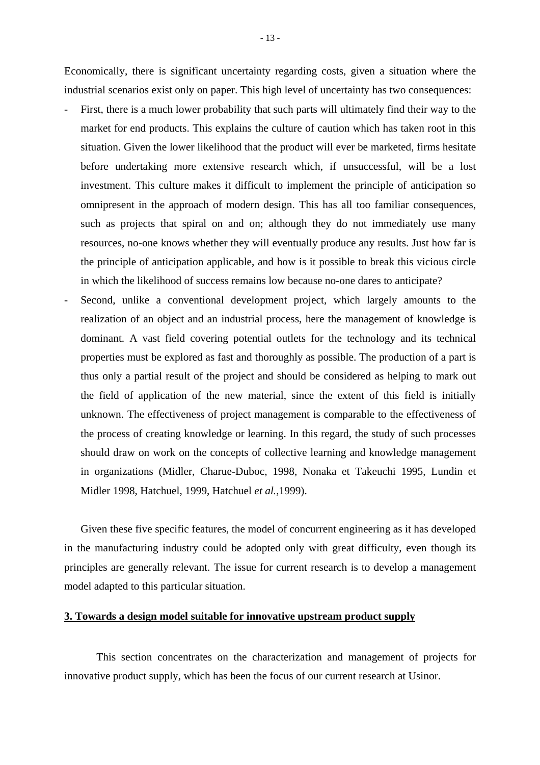Economically, there is significant uncertainty regarding costs, given a situation where the industrial scenarios exist only on paper. This high level of uncertainty has two consequences:

- First, there is a much lower probability that such parts will ultimately find their way to the market for end products. This explains the culture of caution which has taken root in this situation. Given the lower likelihood that the product will ever be marketed, firms hesitate before undertaking more extensive research which, if unsuccessful, will be a lost investment. This culture makes it difficult to implement the principle of anticipation so omnipresent in the approach of modern design. This has all too familiar consequences, such as projects that spiral on and on; although they do not immediately use many resources, no-one knows whether they will eventually produce any results. Just how far is the principle of anticipation applicable, and how is it possible to break this vicious circle in which the likelihood of success remains low because no-one dares to anticipate?
- Second, unlike a conventional development project, which largely amounts to the realization of an object and an industrial process, here the management of knowledge is dominant. A vast field covering potential outlets for the technology and its technical properties must be explored as fast and thoroughly as possible. The production of a part is thus only a partial result of the project and should be considered as helping to mark out the field of application of the new material, since the extent of this field is initially unknown. The effectiveness of project management is comparable to the effectiveness of the process of creating knowledge or learning. In this regard, the study of such processes should draw on work on the concepts of collective learning and knowledge management in organizations (Midler, Charue-Duboc, 1998, Nonaka et Takeuchi 1995, Lundin et Midler 1998, Hatchuel, 1999, Hatchuel *et al.*,1999).

Given these five specific features, the model of concurrent engineering as it has developed in the manufacturing industry could be adopted only with great difficulty, even though its principles are generally relevant. The issue for current research is to develop a management model adapted to this particular situation.

### **3. Towards a design model suitable for innovative upstream product supply**

This section concentrates on the characterization and management of projects for innovative product supply, which has been the focus of our current research at Usinor.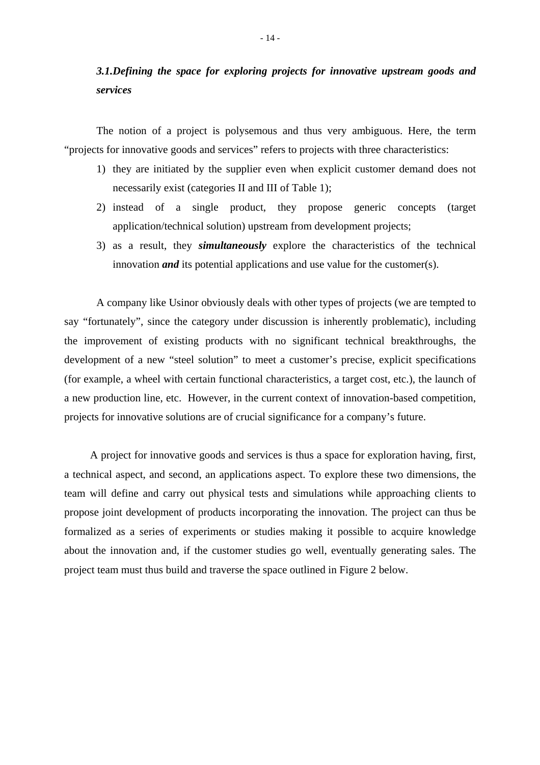## *3.1.Defining the space for exploring projects for innovative upstream goods and services*

The notion of a project is polysemous and thus very ambiguous. Here, the term "projects for innovative goods and services" refers to projects with three characteristics:

- 1) they are initiated by the supplier even when explicit customer demand does not necessarily exist (categories II and III of Table 1);
- 2) instead of a single product, they propose generic concepts (target application/technical solution) upstream from development projects;
- 3) as a result, they *simultaneously* explore the characteristics of the technical innovation *and* its potential applications and use value for the customer(s).

A company like Usinor obviously deals with other types of projects (we are tempted to say "fortunately", since the category under discussion is inherently problematic), including the improvement of existing products with no significant technical breakthroughs, the development of a new "steel solution" to meet a customer's precise, explicit specifications (for example, a wheel with certain functional characteristics, a target cost, etc.), the launch of a new production line, etc. However, in the current context of innovation-based competition, projects for innovative solutions are of crucial significance for a company's future.

A project for innovative goods and services is thus a space for exploration having, first, a technical aspect, and second, an applications aspect. To explore these two dimensions, the team will define and carry out physical tests and simulations while approaching clients to propose joint development of products incorporating the innovation. The project can thus be formalized as a series of experiments or studies making it possible to acquire knowledge about the innovation and, if the customer studies go well, eventually generating sales. The project team must thus build and traverse the space outlined in Figure 2 below.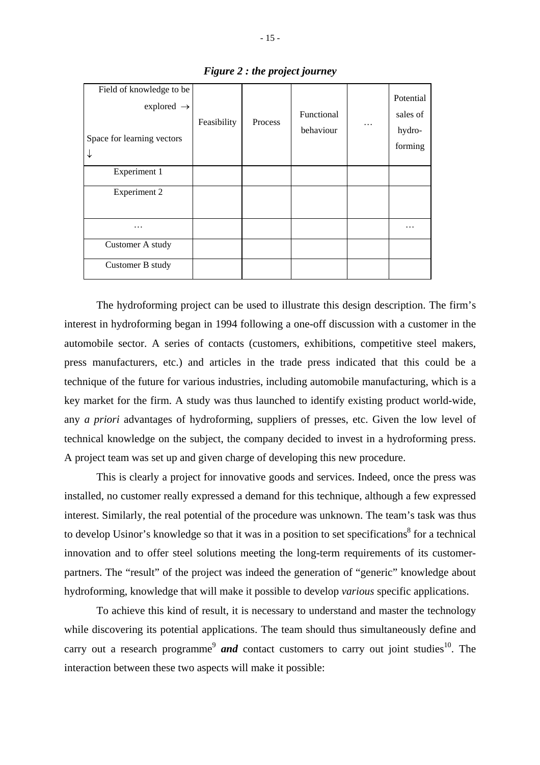| Field of knowledge to be<br>explored $\rightarrow$<br>Space for learning vectors<br>↓ | Feasibility | Process | Functional<br>behaviour | $\cdots$ | Potential<br>sales of<br>hydro-<br>forming |
|---------------------------------------------------------------------------------------|-------------|---------|-------------------------|----------|--------------------------------------------|
| Experiment 1                                                                          |             |         |                         |          |                                            |
| Experiment 2                                                                          |             |         |                         |          |                                            |
| $\ddotsc$                                                                             |             |         |                         |          | $\ddotsc$                                  |
| Customer A study                                                                      |             |         |                         |          |                                            |
| Customer B study                                                                      |             |         |                         |          |                                            |

*Figure 2 : the project journey* 

 The hydroforming project can be used to illustrate this design description. The firm's interest in hydroforming began in 1994 following a one-off discussion with a customer in the automobile sector. A series of contacts (customers, exhibitions, competitive steel makers, press manufacturers, etc.) and articles in the trade press indicated that this could be a technique of the future for various industries, including automobile manufacturing, which is a key market for the firm. A study was thus launched to identify existing product world-wide, any *a priori* advantages of hydroforming, suppliers of presses, etc. Given the low level of technical knowledge on the subject, the company decided to invest in a hydroforming press. A project team was set up and given charge of developing this new procedure.

 This is clearly a project for innovative goods and services. Indeed, once the press was installed, no customer really expressed a demand for this technique, although a few expressed interest. Similarly, the real potential of the procedure was unknown. The team's task was thus to develop Usinor's knowledge so that it was in a position to set specifications<sup>[8](#page-24-7)</sup> for a technical innovation and to offer steel solutions meeting the long-term requirements of its customerpartners. The "result" of the project was indeed the generation of "generic" knowledge about hydroforming, knowledge that will make it possible to develop *various* specific applications.

To achieve this kind of result, it is necessary to understand and master the technology while discovering its potential applications. The team should thus simultaneously define and carry out a research programme<sup>9</sup> and contact customers to carry out joint studies<sup>10</sup>. The interaction between these two aspects will make it possible: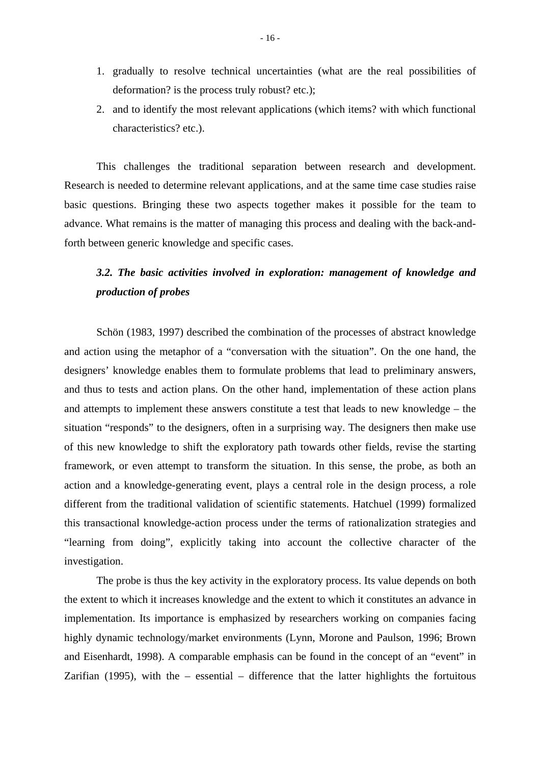- 1. gradually to resolve technical uncertainties (what are the real possibilities of deformation? is the process truly robust? etc.);
- 2. and to identify the most relevant applications (which items? with which functional characteristics? etc.).

This challenges the traditional separation between research and development. Research is needed to determine relevant applications, and at the same time case studies raise basic questions. Bringing these two aspects together makes it possible for the team to advance. What remains is the matter of managing this process and dealing with the back-andforth between generic knowledge and specific cases.

# *3.2. The basic activities involved in exploration: management of knowledge and production of probes*

Schön (1983, 1997) described the combination of the processes of abstract knowledge and action using the metaphor of a "conversation with the situation". On the one hand, the designers' knowledge enables them to formulate problems that lead to preliminary answers, and thus to tests and action plans. On the other hand, implementation of these action plans and attempts to implement these answers constitute a test that leads to new knowledge – the situation "responds" to the designers, often in a surprising way. The designers then make use of this new knowledge to shift the exploratory path towards other fields, revise the starting framework, or even attempt to transform the situation. In this sense, the probe, as both an action and a knowledge-generating event, plays a central role in the design process, a role different from the traditional validation of scientific statements. Hatchuel (1999) formalized this transactional knowledge-action process under the terms of rationalization strategies and "learning from doing", explicitly taking into account the collective character of the investigation.

The probe is thus the key activity in the exploratory process. Its value depends on both the extent to which it increases knowledge and the extent to which it constitutes an advance in implementation. Its importance is emphasized by researchers working on companies facing highly dynamic technology/market environments (Lynn, Morone and Paulson, 1996; Brown and Eisenhardt, 1998). A comparable emphasis can be found in the concept of an "event" in Zarifian (1995), with the  $-$  essential  $-$  difference that the latter highlights the fortuitous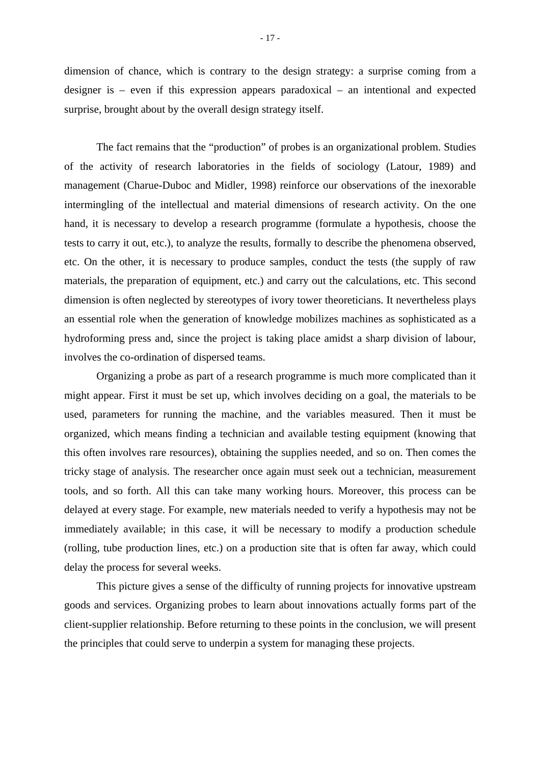dimension of chance, which is contrary to the design strategy: a surprise coming from a designer is – even if this expression appears paradoxical – an intentional and expected surprise, brought about by the overall design strategy itself.

The fact remains that the "production" of probes is an organizational problem. Studies of the activity of research laboratories in the fields of sociology (Latour, 1989) and management (Charue-Duboc and Midler, 1998) reinforce our observations of the inexorable intermingling of the intellectual and material dimensions of research activity. On the one hand, it is necessary to develop a research programme (formulate a hypothesis, choose the tests to carry it out, etc.), to analyze the results, formally to describe the phenomena observed, etc. On the other, it is necessary to produce samples, conduct the tests (the supply of raw materials, the preparation of equipment, etc.) and carry out the calculations, etc. This second dimension is often neglected by stereotypes of ivory tower theoreticians. It nevertheless plays an essential role when the generation of knowledge mobilizes machines as sophisticated as a hydroforming press and, since the project is taking place amidst a sharp division of labour, involves the co-ordination of dispersed teams.

Organizing a probe as part of a research programme is much more complicated than it might appear. First it must be set up, which involves deciding on a goal, the materials to be used, parameters for running the machine, and the variables measured. Then it must be organized, which means finding a technician and available testing equipment (knowing that this often involves rare resources), obtaining the supplies needed, and so on. Then comes the tricky stage of analysis. The researcher once again must seek out a technician, measurement tools, and so forth. All this can take many working hours. Moreover, this process can be delayed at every stage. For example, new materials needed to verify a hypothesis may not be immediately available; in this case, it will be necessary to modify a production schedule (rolling, tube production lines, etc.) on a production site that is often far away, which could delay the process for several weeks.

This picture gives a sense of the difficulty of running projects for innovative upstream goods and services. Organizing probes to learn about innovations actually forms part of the client-supplier relationship. Before returning to these points in the conclusion, we will present the principles that could serve to underpin a system for managing these projects.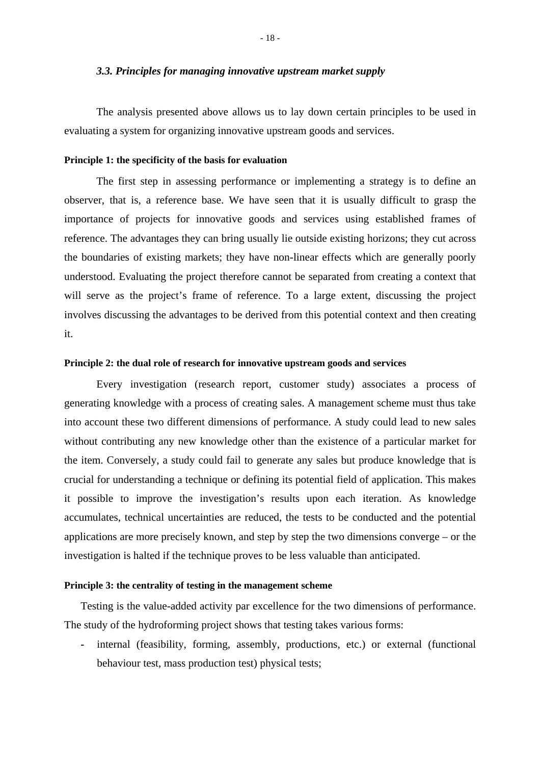#### *3.3. Principles for managing innovative upstream market supply*

The analysis presented above allows us to lay down certain principles to be used in evaluating a system for organizing innovative upstream goods and services.

#### **Principle 1: the specificity of the basis for evaluation**

The first step in assessing performance or implementing a strategy is to define an observer, that is, a reference base. We have seen that it is usually difficult to grasp the importance of projects for innovative goods and services using established frames of reference. The advantages they can bring usually lie outside existing horizons; they cut across the boundaries of existing markets; they have non-linear effects which are generally poorly understood. Evaluating the project therefore cannot be separated from creating a context that will serve as the project's frame of reference. To a large extent, discussing the project involves discussing the advantages to be derived from this potential context and then creating it.

### **Principle 2: the dual role of research for innovative upstream goods and services**

Every investigation (research report, customer study) associates a process of generating knowledge with a process of creating sales. A management scheme must thus take into account these two different dimensions of performance. A study could lead to new sales without contributing any new knowledge other than the existence of a particular market for the item. Conversely, a study could fail to generate any sales but produce knowledge that is crucial for understanding a technique or defining its potential field of application. This makes it possible to improve the investigation's results upon each iteration. As knowledge accumulates, technical uncertainties are reduced, the tests to be conducted and the potential applications are more precisely known, and step by step the two dimensions converge – or the investigation is halted if the technique proves to be less valuable than anticipated.

### **Principle 3: the centrality of testing in the management scheme**

Testing is the value-added activity par excellence for the two dimensions of performance. The study of the hydroforming project shows that testing takes various forms:

**-** internal (feasibility, forming, assembly, productions, etc.) or external (functional behaviour test, mass production test) physical tests;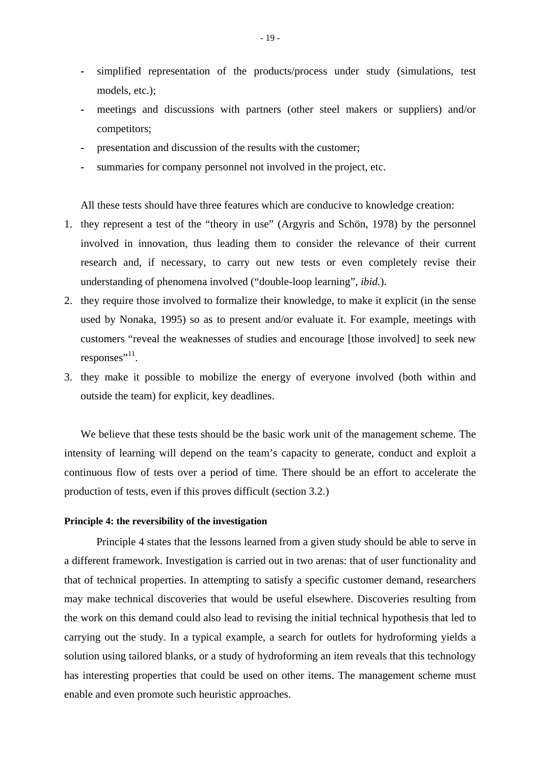- simplified representation of the products/process under study (simulations, test models, etc.);
- meetings and discussions with partners (other steel makers or suppliers) and/or competitors;
- presentation and discussion of the results with the customer;
- summaries for company personnel not involved in the project, etc.

All these tests should have three features which are conducive to knowledge creation:

- 1. they represent a test of the "theory in use" (Argyris and Schön, 1978) by the personnel involved in innovation, thus leading them to consider the relevance of their current research and, if necessary, to carry out new tests or even completely revise their understanding of phenomena involved ("double-loop learning", *ibid.*).
- 2. they require those involved to formalize their knowledge, to make it explicit (in the sense used by Nonaka, 1995) so as to present and/or evaluate it. For example, meetings with customers "reveal the weaknesses of studies and encourage [those involved] to seek new responses"<sup>11</sup>.
- 3. they make it possible to mobilize the energy of everyone involved (both within and outside the team) for explicit, key deadlines.

We believe that these tests should be the basic work unit of the management scheme. The intensity of learning will depend on the team's capacity to generate, conduct and exploit a continuous flow of tests over a period of time. There should be an effort to accelerate the production of tests, even if this proves difficult (section 3.2.)

### **Principle 4: the reversibility of the investigation**

Principle 4 states that the lessons learned from a given study should be able to serve in a different framework. Investigation is carried out in two arenas: that of user functionality and that of technical properties. In attempting to satisfy a specific customer demand, researchers may make technical discoveries that would be useful elsewhere. Discoveries resulting from the work on this demand could also lead to revising the initial technical hypothesis that led to carrying out the study. In a typical example, a search for outlets for hydroforming yields a solution using tailored blanks, or a study of hydroforming an item reveals that this technology has interesting properties that could be used on other items. The management scheme must enable and even promote such heuristic approaches.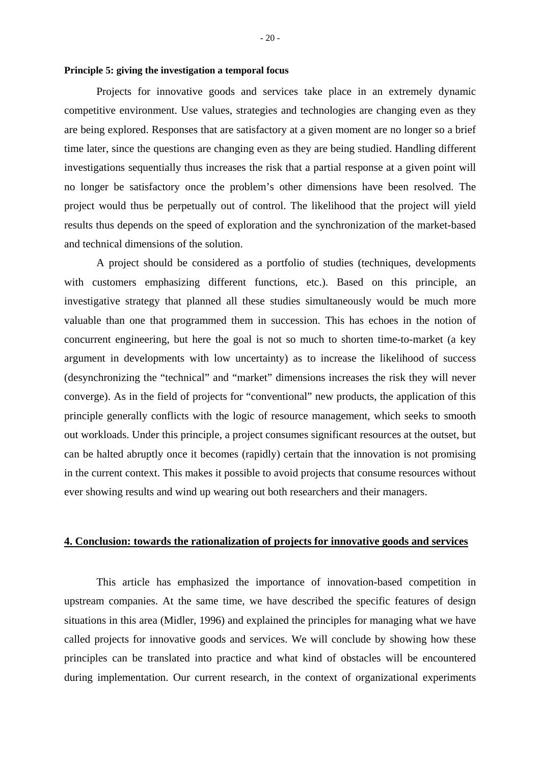#### **Principle 5: giving the investigation a temporal focus**

Projects for innovative goods and services take place in an extremely dynamic competitive environment. Use values, strategies and technologies are changing even as they are being explored. Responses that are satisfactory at a given moment are no longer so a brief time later, since the questions are changing even as they are being studied. Handling different investigations sequentially thus increases the risk that a partial response at a given point will no longer be satisfactory once the problem's other dimensions have been resolved. The project would thus be perpetually out of control. The likelihood that the project will yield results thus depends on the speed of exploration and the synchronization of the market-based and technical dimensions of the solution.

A project should be considered as a portfolio of studies (techniques, developments with customers emphasizing different functions, etc.). Based on this principle, an investigative strategy that planned all these studies simultaneously would be much more valuable than one that programmed them in succession. This has echoes in the notion of concurrent engineering, but here the goal is not so much to shorten time-to-market (a key argument in developments with low uncertainty) as to increase the likelihood of success (desynchronizing the "technical" and "market" dimensions increases the risk they will never converge). As in the field of projects for "conventional" new products, the application of this principle generally conflicts with the logic of resource management, which seeks to smooth out workloads. Under this principle, a project consumes significant resources at the outset, but can be halted abruptly once it becomes (rapidly) certain that the innovation is not promising in the current context. This makes it possible to avoid projects that consume resources without ever showing results and wind up wearing out both researchers and their managers.

### **4. Conclusion: towards the rationalization of projects for innovative goods and services**

 This article has emphasized the importance of innovation-based competition in upstream companies. At the same time, we have described the specific features of design situations in this area (Midler, 1996) and explained the principles for managing what we have called projects for innovative goods and services. We will conclude by showing how these principles can be translated into practice and what kind of obstacles will be encountered during implementation. Our current research, in the context of organizational experiments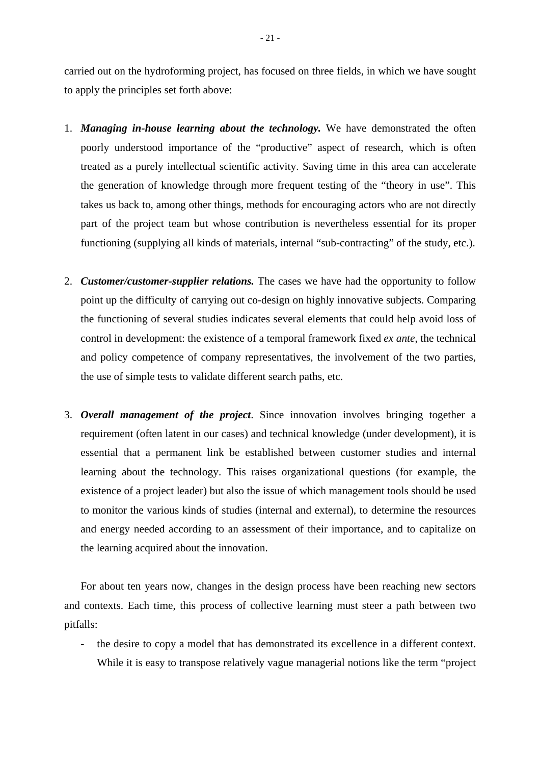carried out on the hydroforming project, has focused on three fields, in which we have sought to apply the principles set forth above:

- 1. *Managing in-house learning about the technology.* We have demonstrated the often poorly understood importance of the "productive" aspect of research, which is often treated as a purely intellectual scientific activity. Saving time in this area can accelerate the generation of knowledge through more frequent testing of the "theory in use". This takes us back to, among other things, methods for encouraging actors who are not directly part of the project team but whose contribution is nevertheless essential for its proper functioning (supplying all kinds of materials, internal "sub-contracting" of the study, etc.).
- 2. *Customer/customer-supplier relations.* The cases we have had the opportunity to follow point up the difficulty of carrying out co-design on highly innovative subjects. Comparing the functioning of several studies indicates several elements that could help avoid loss of control in development: the existence of a temporal framework fixed *ex ante*, the technical and policy competence of company representatives, the involvement of the two parties, the use of simple tests to validate different search paths, etc.
- 3. *Overall management of the project*. Since innovation involves bringing together a requirement (often latent in our cases) and technical knowledge (under development), it is essential that a permanent link be established between customer studies and internal learning about the technology. This raises organizational questions (for example, the existence of a project leader) but also the issue of which management tools should be used to monitor the various kinds of studies (internal and external), to determine the resources and energy needed according to an assessment of their importance, and to capitalize on the learning acquired about the innovation.

For about ten years now, changes in the design process have been reaching new sectors and contexts. Each time, this process of collective learning must steer a path between two pitfalls:

**-** the desire to copy a model that has demonstrated its excellence in a different context. While it is easy to transpose relatively vague managerial notions like the term "project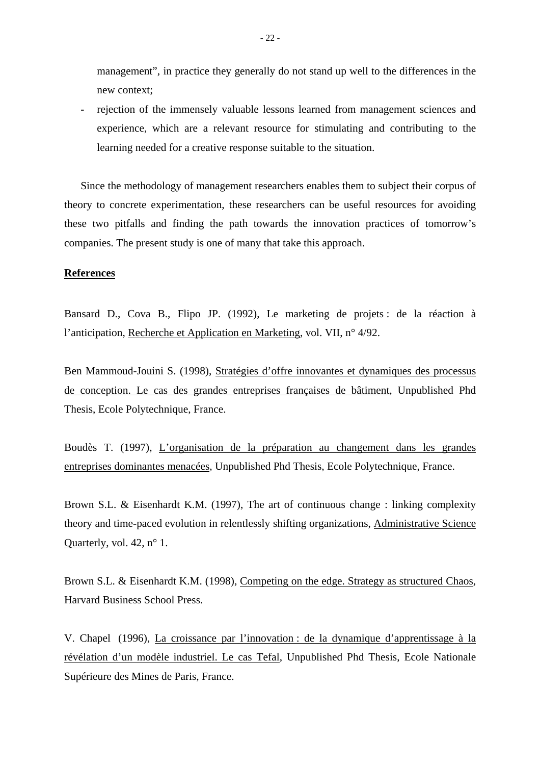management", in practice they generally do not stand up well to the differences in the new context;

**-** rejection of the immensely valuable lessons learned from management sciences and experience, which are a relevant resource for stimulating and contributing to the learning needed for a creative response suitable to the situation.

Since the methodology of management researchers enables them to subject their corpus of theory to concrete experimentation, these researchers can be useful resources for avoiding these two pitfalls and finding the path towards the innovation practices of tomorrow's companies. The present study is one of many that take this approach.

### **References**

Bansard D., Cova B., Flipo JP. (1992), Le marketing de projets : de la réaction à l'anticipation, Recherche et Application en Marketing, vol. VII, n° 4/92.

Ben Mammoud-Jouini S. (1998), Stratégies d'offre innovantes et dynamiques des processus de conception. Le cas des grandes entreprises françaises de bâtiment, Unpublished Phd Thesis, Ecole Polytechnique, France.

Boudès T. (1997), L'organisation de la préparation au changement dans les grandes entreprises dominantes menacées, Unpublished Phd Thesis, Ecole Polytechnique, France.

Brown S.L. & Eisenhardt K.M. (1997), The art of continuous change : linking complexity theory and time-paced evolution in relentlessly shifting organizations, Administrative Science Quarterly, vol. 42, n° 1.

Brown S.L. & Eisenhardt K.M. (1998), Competing on the edge. Strategy as structured Chaos, Harvard Business School Press.

V. Chapel (1996), La croissance par l'innovation : de la dynamique d'apprentissage à la révélation d'un modèle industriel. Le cas Tefal, Unpublished Phd Thesis, Ecole Nationale Supérieure des Mines de Paris, France.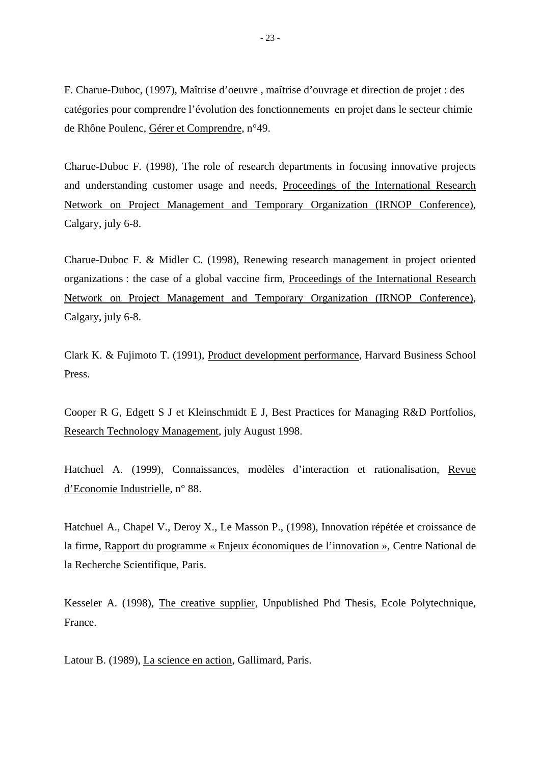F. Charue-Duboc, (1997), Maîtrise d'oeuvre , maîtrise d'ouvrage et direction de projet : des catégories pour comprendre l'évolution des fonctionnements en projet dans le secteur chimie de Rhône Poulenc, Gérer et Comprendre, n°49.

Charue-Duboc F. (1998), The role of research departments in focusing innovative projects and understanding customer usage and needs, Proceedings of the International Research Network on Project Management and Temporary Organization (IRNOP Conference), Calgary, july 6-8.

Charue-Duboc F. & Midler C. (1998), Renewing research management in project oriented organizations : the case of a global vaccine firm*,* Proceedings of the International Research Network on Project Management and Temporary Organization (IRNOP Conference), Calgary, july 6-8.

Clark K. & Fujimoto T. (1991), Product development performance, Harvard Business School Press.

Cooper R G, Edgett S J et Kleinschmidt E J, Best Practices for Managing R&D Portfolios, Research Technology Management, july August 1998.

Hatchuel A. (1999), Connaissances, modèles d'interaction et rationalisation, Revue d'Economie Industrielle, n° 88.

Hatchuel A., Chapel V., Deroy X., Le Masson P., (1998), Innovation répétée et croissance de la firme, Rapport du programme « Enjeux économiques de l'innovation »*,* Centre National de la Recherche Scientifique, Paris.

Kesseler A. (1998), The creative supplier, Unpublished Phd Thesis, Ecole Polytechnique, France.

Latour B. (1989), La science en action, Gallimard, Paris.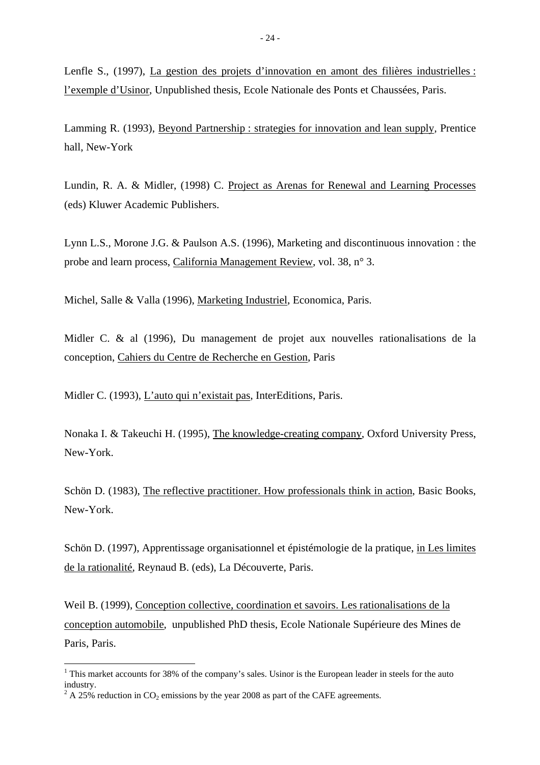Lenfle S., (1997), La gestion des projets d'innovation en amont des filières industrielles : l'exemple d'Usinor, Unpublished thesis, Ecole Nationale des Ponts et Chaussées, Paris.

Lamming R. (1993), Beyond Partnership : strategies for innovation and lean supply*,* Prentice hall, New-York

Lundin, R. A. & Midler, (1998) C. Project as Arenas for Renewal and Learning Processes (eds) Kluwer Academic Publishers.

Lynn L.S., Morone J.G. & Paulson A.S. (1996), Marketing and discontinuous innovation : the probe and learn process, California Management Review, vol. 38, n° 3.

Michel, Salle & Valla (1996), Marketing Industriel, Economica, Paris.

Midler C. & al (1996), Du management de projet aux nouvelles rationalisations de la conception, Cahiers du Centre de Recherche en Gestion, Paris

Midler C. (1993), L'auto qui n'existait pas*,* InterEditions, Paris.

Nonaka I. & Takeuchi H. (1995), The knowledge-creating company, Oxford University Press, New-York.

Schön D. (1983), The reflective practitioner. How professionals think in action, Basic Books, New-York.

Schön D. (1997), Apprentissage organisationnel et épistémologie de la pratique, in Les limites de la rationalité, Reynaud B. (eds), La Découverte, Paris.

Weil B. (1999), Conception collective, coordination et savoirs. Les rationalisations de la conception automobile, unpublished PhD thesis, Ecole Nationale Supérieure des Mines de Paris, Paris.

1

<sup>&</sup>lt;sup>1</sup> This market accounts for 38% of the company's sales. Usinor is the European leader in steels for the auto industry.

 $^2$  A 25% reduction in CO<sub>2</sub> emissions by the year 2008 as part of the CAFE agreements.